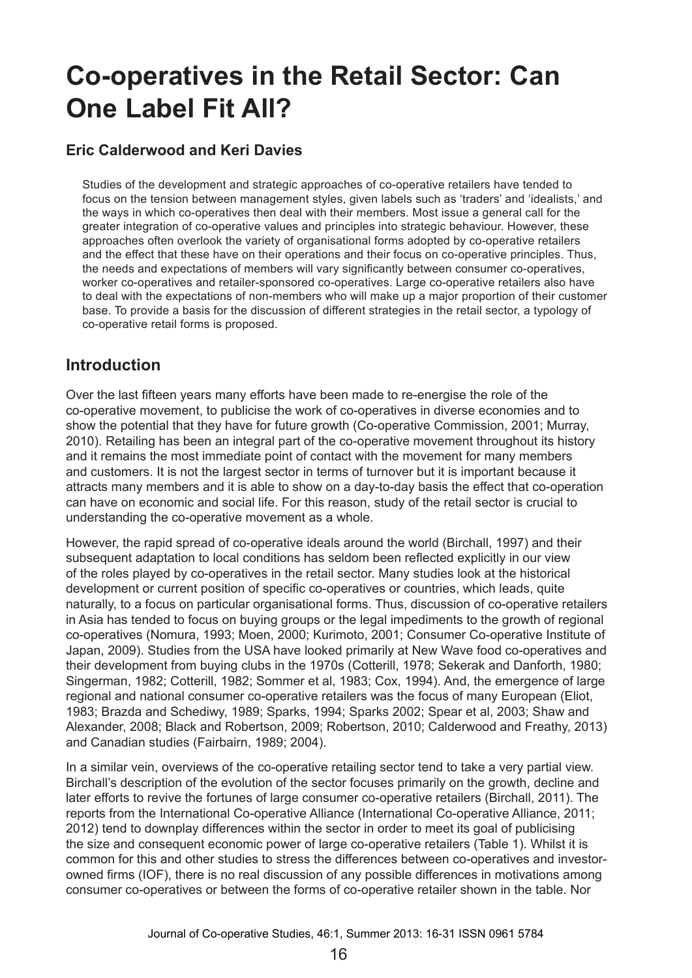# **Co-operatives in the Retail Sector: Can One Label Fit All?**

### **Eric Calderwood and Keri Davies**

Studies of the development and strategic approaches of co-operative retailers have tended to focus on the tension between management styles, given labels such as 'traders' and 'idealists,' and the ways in which co-operatives then deal with their members. Most issue a general call for the greater integration of co-operative values and principles into strategic behaviour. However, these approaches often overlook the variety of organisational forms adopted by co-operative retailers and the effect that these have on their operations and their focus on co-operative principles. Thus, the needs and expectations of members will vary significantly between consumer co-operatives, worker co-operatives and retailer-sponsored co-operatives. Large co-operative retailers also have to deal with the expectations of non-members who will make up a major proportion of their customer base. To provide a basis for the discussion of different strategies in the retail sector, a typology of co-operative retail forms is proposed.

### **Introduction**

Over the last fifteen years many efforts have been made to re-energise the role of the co-operative movement, to publicise the work of co-operatives in diverse economies and to show the potential that they have for future growth (Co-operative Commission, 2001; Murray, 2010). Retailing has been an integral part of the co-operative movement throughout its history and it remains the most immediate point of contact with the movement for many members and customers. It is not the largest sector in terms of turnover but it is important because it attracts many members and it is able to show on a day-to-day basis the effect that co-operation can have on economic and social life. For this reason, study of the retail sector is crucial to understanding the co-operative movement as a whole.

However, the rapid spread of co-operative ideals around the world (Birchall, 1997) and their subsequent adaptation to local conditions has seldom been reflected explicitly in our view of the roles played by co-operatives in the retail sector. Many studies look at the historical development or current position of specific co-operatives or countries, which leads, quite naturally, to a focus on particular organisational forms. Thus, discussion of co-operative retailers in Asia has tended to focus on buying groups or the legal impediments to the growth of regional co-operatives (Nomura, 1993; Moen, 2000; Kurimoto, 2001; Consumer Co-operative Institute of Japan, 2009). Studies from the USA have looked primarily at New Wave food co-operatives and their development from buying clubs in the 1970s (Cotterill, 1978; Sekerak and Danforth, 1980; Singerman, 1982; Cotterill, 1982; Sommer et al, 1983; Cox, 1994). And, the emergence of large regional and national consumer co-operative retailers was the focus of many European (Eliot, 1983; Brazda and Schediwy, 1989; Sparks, 1994; Sparks 2002; Spear et al, 2003; Shaw and Alexander, 2008; Black and Robertson, 2009; Robertson, 2010; Calderwood and Freathy, 2013) and Canadian studies (Fairbairn, 1989; 2004).

In a similar vein, overviews of the co-operative retailing sector tend to take a very partial view. Birchall's description of the evolution of the sector focuses primarily on the growth, decline and later efforts to revive the fortunes of large consumer co-operative retailers (Birchall, 2011). The reports from the International Co-operative Alliance (International Co-operative Alliance, 2011; 2012) tend to downplay differences within the sector in order to meet its goal of publicising the size and consequent economic power of large co-operative retailers (Table 1). Whilst it is common for this and other studies to stress the differences between co-operatives and investorowned firms (IOF), there is no real discussion of any possible differences in motivations among consumer co-operatives or between the forms of co-operative retailer shown in the table. Nor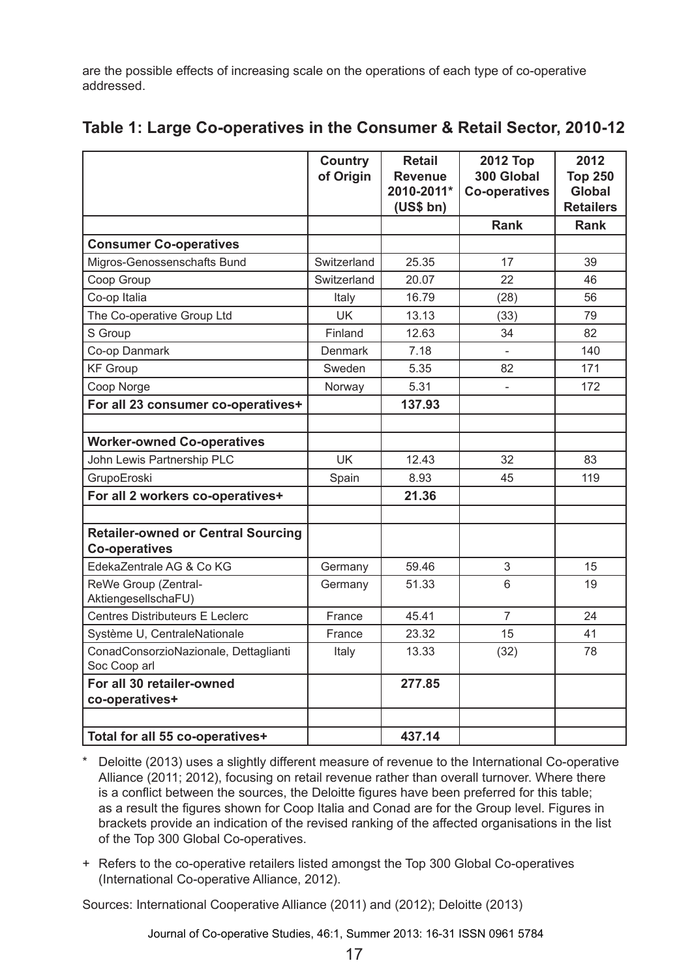are the possible effects of increasing scale on the operations of each type of co-operative addressed.

|                                                                   | <b>Country</b><br>of Origin | <b>Retail</b><br><b>Revenue</b><br>2010-2011*<br>(US\$ bh) | <b>2012 Top</b><br>300 Global<br><b>Co-operatives</b> | 2012<br><b>Top 250</b><br><b>Global</b><br><b>Retailers</b> |
|-------------------------------------------------------------------|-----------------------------|------------------------------------------------------------|-------------------------------------------------------|-------------------------------------------------------------|
|                                                                   |                             |                                                            | <b>Rank</b>                                           | <b>Rank</b>                                                 |
| <b>Consumer Co-operatives</b>                                     |                             |                                                            |                                                       |                                                             |
| Migros-Genossenschafts Bund                                       | Switzerland                 | 25.35                                                      | 17                                                    | 39                                                          |
| Coop Group                                                        | Switzerland                 | 20.07                                                      | 22                                                    | 46                                                          |
| Co-op Italia                                                      | Italy                       | 16.79                                                      | (28)                                                  | 56                                                          |
| The Co-operative Group Ltd                                        | <b>UK</b>                   | 13.13                                                      | (33)                                                  | 79                                                          |
| S Group                                                           | Finland                     | 12.63                                                      | 34                                                    | 82                                                          |
| Co-op Danmark                                                     | <b>Denmark</b>              | 7.18                                                       |                                                       | 140                                                         |
| <b>KF Group</b>                                                   | Sweden                      | 5.35                                                       | 82                                                    | 171                                                         |
| Coop Norge                                                        | Norway                      | 5.31                                                       |                                                       | 172                                                         |
| For all 23 consumer co-operatives+                                |                             | 137.93                                                     |                                                       |                                                             |
|                                                                   |                             |                                                            |                                                       |                                                             |
| <b>Worker-owned Co-operatives</b>                                 |                             |                                                            |                                                       |                                                             |
| John Lewis Partnership PLC                                        | <b>UK</b>                   | 12.43                                                      | 32                                                    | 83                                                          |
| GrupoEroski                                                       | Spain                       | 8.93                                                       | 45                                                    | 119                                                         |
| For all 2 workers co-operatives+                                  |                             | 21.36                                                      |                                                       |                                                             |
|                                                                   |                             |                                                            |                                                       |                                                             |
| <b>Retailer-owned or Central Sourcing</b><br><b>Co-operatives</b> |                             |                                                            |                                                       |                                                             |
| EdekaZentrale AG & Co KG                                          | Germany                     | 59.46                                                      | 3                                                     | 15                                                          |
| ReWe Group (Zentral-<br>AktiengesellschaFU)                       | Germany                     | 51.33                                                      | 6                                                     | 19                                                          |
| Centres Distributeurs E Leclerc                                   | France                      | 45.41                                                      | $\overline{7}$                                        | 24                                                          |
| Système U, CentraleNationale                                      | France                      | 23.32                                                      | 15                                                    | 41                                                          |
| ConadConsorzioNazionale, Dettaglianti<br>Soc Coop arl             | Italy                       | 13.33                                                      | (32)                                                  | 78                                                          |
| For all 30 retailer-owned<br>co-operatives+                       |                             | 277.85                                                     |                                                       |                                                             |
| Total for all 55 co-operatives+                                   |                             | 437.14                                                     |                                                       |                                                             |

# **Table 1: Large Co-operatives in the Consumer & Retail Sector, 2010-12**

\* Deloitte (2013) uses a slightly different measure of revenue to the International Co-operative Alliance (2011; 2012), focusing on retail revenue rather than overall turnover. Where there is a conflict between the sources, the Deloitte figures have been preferred for this table; as a result the figures shown for Coop Italia and Conad are for the Group level. Figures in brackets provide an indication of the revised ranking of the affected organisations in the list of the Top 300 Global Co-operatives.

+ Refers to the co-operative retailers listed amongst the Top 300 Global Co-operatives (International Co-operative Alliance, 2012).

Sources: International Cooperative Alliance (2011) and (2012); Deloitte (2013)

Journal of Co-operative Studies, 46:1, Summer 2013: 16-31 ISSN 0961 5784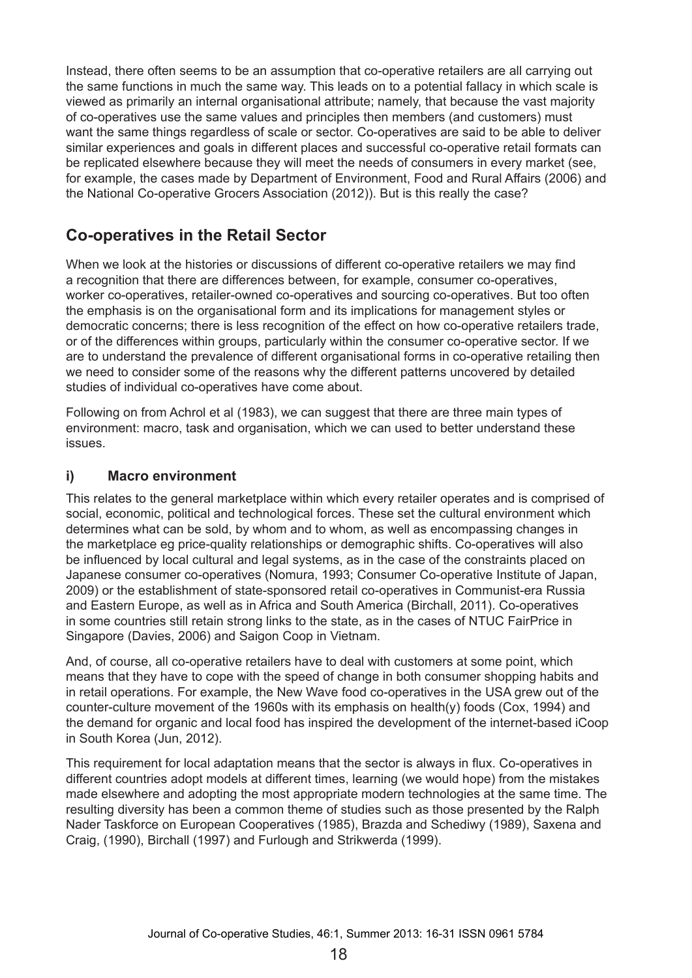Instead, there often seems to be an assumption that co-operative retailers are all carrying out the same functions in much the same way. This leads on to a potential fallacy in which scale is viewed as primarily an internal organisational attribute; namely, that because the vast majority of co-operatives use the same values and principles then members (and customers) must want the same things regardless of scale or sector. Co-operatives are said to be able to deliver similar experiences and goals in different places and successful co-operative retail formats can be replicated elsewhere because they will meet the needs of consumers in every market (see, for example, the cases made by Department of Environment, Food and Rural Affairs (2006) and the National Co-operative Grocers Association (2012)). But is this really the case?

# **Co-operatives in the Retail Sector**

When we look at the histories or discussions of different co-operative retailers we may find a recognition that there are differences between, for example, consumer co-operatives, worker co-operatives, retailer-owned co-operatives and sourcing co-operatives. But too often the emphasis is on the organisational form and its implications for management styles or democratic concerns; there is less recognition of the effect on how co-operative retailers trade, or of the differences within groups, particularly within the consumer co-operative sector. If we are to understand the prevalence of different organisational forms in co-operative retailing then we need to consider some of the reasons why the different patterns uncovered by detailed studies of individual co-operatives have come about.

Following on from Achrol et al (1983), we can suggest that there are three main types of environment: macro, task and organisation, which we can used to better understand these issues.

#### **i) Macro environment**

This relates to the general marketplace within which every retailer operates and is comprised of social, economic, political and technological forces. These set the cultural environment which determines what can be sold, by whom and to whom, as well as encompassing changes in the marketplace eg price-quality relationships or demographic shifts. Co-operatives will also be influenced by local cultural and legal systems, as in the case of the constraints placed on Japanese consumer co-operatives (Nomura, 1993; Consumer Co-operative Institute of Japan, 2009) or the establishment of state-sponsored retail co-operatives in Communist-era Russia and Eastern Europe, as well as in Africa and South America (Birchall, 2011). Co-operatives in some countries still retain strong links to the state, as in the cases of NTUC FairPrice in Singapore (Davies, 2006) and Saigon Coop in Vietnam.

And, of course, all co-operative retailers have to deal with customers at some point, which means that they have to cope with the speed of change in both consumer shopping habits and in retail operations. For example, the New Wave food co-operatives in the USA grew out of the counter-culture movement of the 1960s with its emphasis on health(y) foods (Cox, 1994) and the demand for organic and local food has inspired the development of the internet-based iCoop in South Korea (Jun, 2012).

This requirement for local adaptation means that the sector is always in flux. Co-operatives in different countries adopt models at different times, learning (we would hope) from the mistakes made elsewhere and adopting the most appropriate modern technologies at the same time. The resulting diversity has been a common theme of studies such as those presented by the Ralph Nader Taskforce on European Cooperatives (1985), Brazda and Schediwy (1989), Saxena and Craig, (1990), Birchall (1997) and Furlough and Strikwerda (1999).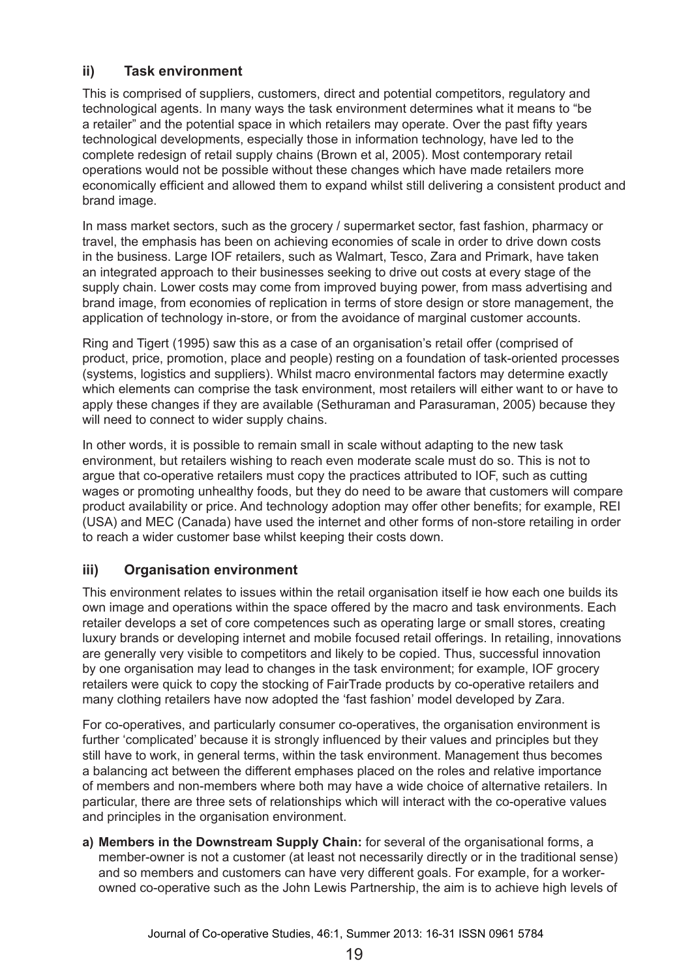### **ii) Task environment**

This is comprised of suppliers, customers, direct and potential competitors, regulatory and technological agents. In many ways the task environment determines what it means to "be a retailer" and the potential space in which retailers may operate. Over the past fifty years technological developments, especially those in information technology, have led to the complete redesign of retail supply chains (Brown et al, 2005). Most contemporary retail operations would not be possible without these changes which have made retailers more economically efficient and allowed them to expand whilst still delivering a consistent product and brand image.

In mass market sectors, such as the grocery / supermarket sector, fast fashion, pharmacy or travel, the emphasis has been on achieving economies of scale in order to drive down costs in the business. Large IOF retailers, such as Walmart, Tesco, Zara and Primark, have taken an integrated approach to their businesses seeking to drive out costs at every stage of the supply chain. Lower costs may come from improved buying power, from mass advertising and brand image, from economies of replication in terms of store design or store management, the application of technology in-store, or from the avoidance of marginal customer accounts.

Ring and Tigert (1995) saw this as a case of an organisation's retail offer (comprised of product, price, promotion, place and people) resting on a foundation of task-oriented processes (systems, logistics and suppliers). Whilst macro environmental factors may determine exactly which elements can comprise the task environment, most retailers will either want to or have to apply these changes if they are available (Sethuraman and Parasuraman, 2005) because they will need to connect to wider supply chains.

In other words, it is possible to remain small in scale without adapting to the new task environment, but retailers wishing to reach even moderate scale must do so. This is not to argue that co-operative retailers must copy the practices attributed to IOF, such as cutting wages or promoting unhealthy foods, but they do need to be aware that customers will compare product availability or price. And technology adoption may offer other benefits; for example, REI (USA) and MEC (Canada) have used the internet and other forms of non-store retailing in order to reach a wider customer base whilst keeping their costs down.

### **iii) Organisation environment**

This environment relates to issues within the retail organisation itself ie how each one builds its own image and operations within the space offered by the macro and task environments. Each retailer develops a set of core competences such as operating large or small stores, creating luxury brands or developing internet and mobile focused retail offerings. In retailing, innovations are generally very visible to competitors and likely to be copied. Thus, successful innovation by one organisation may lead to changes in the task environment; for example, IOF grocery retailers were quick to copy the stocking of FairTrade products by co-operative retailers and many clothing retailers have now adopted the 'fast fashion' model developed by Zara.

For co-operatives, and particularly consumer co-operatives, the organisation environment is further 'complicated' because it is strongly influenced by their values and principles but they still have to work, in general terms, within the task environment. Management thus becomes a balancing act between the different emphases placed on the roles and relative importance of members and non-members where both may have a wide choice of alternative retailers. In particular, there are three sets of relationships which will interact with the co-operative values and principles in the organisation environment.

**a) Members in the Downstream Supply Chain:** for several of the organisational forms, a member-owner is not a customer (at least not necessarily directly or in the traditional sense) and so members and customers can have very different goals. For example, for a workerowned co-operative such as the John Lewis Partnership, the aim is to achieve high levels of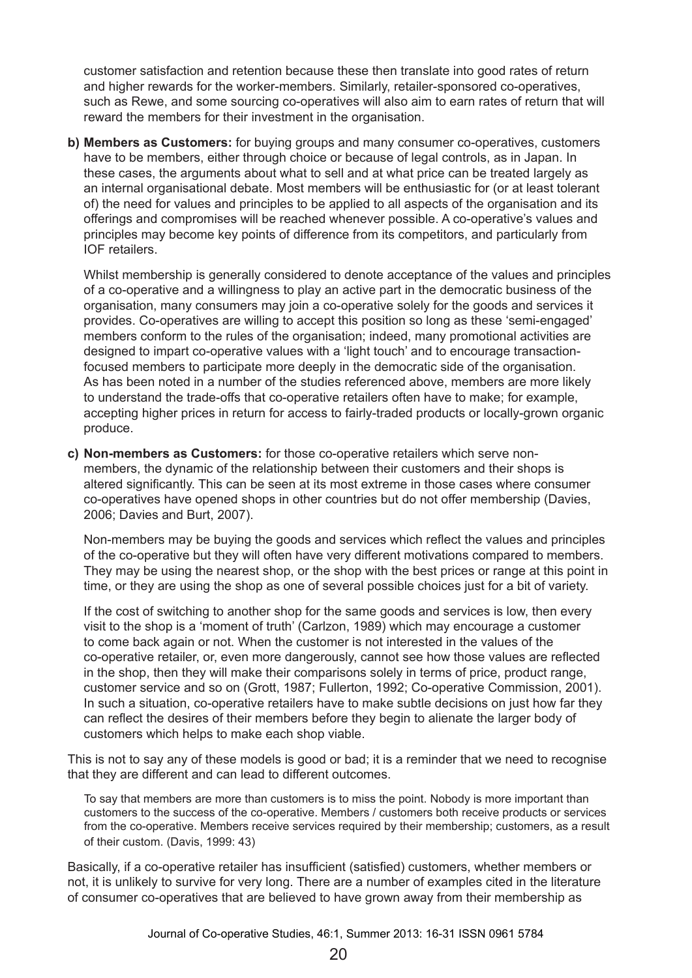customer satisfaction and retention because these then translate into good rates of return and higher rewards for the worker-members. Similarly, retailer-sponsored co-operatives, such as Rewe, and some sourcing co-operatives will also aim to earn rates of return that will reward the members for their investment in the organisation.

**b) Members as Customers:** for buying groups and many consumer co-operatives, customers have to be members, either through choice or because of legal controls, as in Japan. In these cases, the arguments about what to sell and at what price can be treated largely as an internal organisational debate. Most members will be enthusiastic for (or at least tolerant of) the need for values and principles to be applied to all aspects of the organisation and its offerings and compromises will be reached whenever possible. A co-operative's values and principles may become key points of difference from its competitors, and particularly from IOF retailers.

Whilst membership is generally considered to denote acceptance of the values and principles of a co-operative and a willingness to play an active part in the democratic business of the organisation, many consumers may join a co-operative solely for the goods and services it provides. Co-operatives are willing to accept this position so long as these 'semi-engaged' members conform to the rules of the organisation; indeed, many promotional activities are designed to impart co-operative values with a 'light touch' and to encourage transactionfocused members to participate more deeply in the democratic side of the organisation. As has been noted in a number of the studies referenced above, members are more likely to understand the trade-offs that co-operative retailers often have to make; for example, accepting higher prices in return for access to fairly-traded products or locally-grown organic produce.

**c) Non-members as Customers:** for those co-operative retailers which serve nonmembers, the dynamic of the relationship between their customers and their shops is altered significantly. This can be seen at its most extreme in those cases where consumer co-operatives have opened shops in other countries but do not offer membership (Davies, 2006; Davies and Burt, 2007).

Non-members may be buying the goods and services which reflect the values and principles of the co-operative but they will often have very different motivations compared to members. They may be using the nearest shop, or the shop with the best prices or range at this point in time, or they are using the shop as one of several possible choices just for a bit of variety.

If the cost of switching to another shop for the same goods and services is low, then every visit to the shop is a 'moment of truth' (Carlzon, 1989) which may encourage a customer to come back again or not. When the customer is not interested in the values of the co‑operative retailer, or, even more dangerously, cannot see how those values are reflected in the shop, then they will make their comparisons solely in terms of price, product range, customer service and so on (Grott, 1987; Fullerton, 1992; Co-operative Commission, 2001). In such a situation, co-operative retailers have to make subtle decisions on just how far they can reflect the desires of their members before they begin to alienate the larger body of customers which helps to make each shop viable.

This is not to say any of these models is good or bad; it is a reminder that we need to recognise that they are different and can lead to different outcomes.

To say that members are more than customers is to miss the point. Nobody is more important than customers to the success of the co-operative. Members / customers both receive products or services from the co-operative. Members receive services required by their membership; customers, as a result of their custom. (Davis, 1999: 43)

Basically, if a co-operative retailer has insufficient (satisfied) customers, whether members or not, it is unlikely to survive for very long. There are a number of examples cited in the literature of consumer co-operatives that are believed to have grown away from their membership as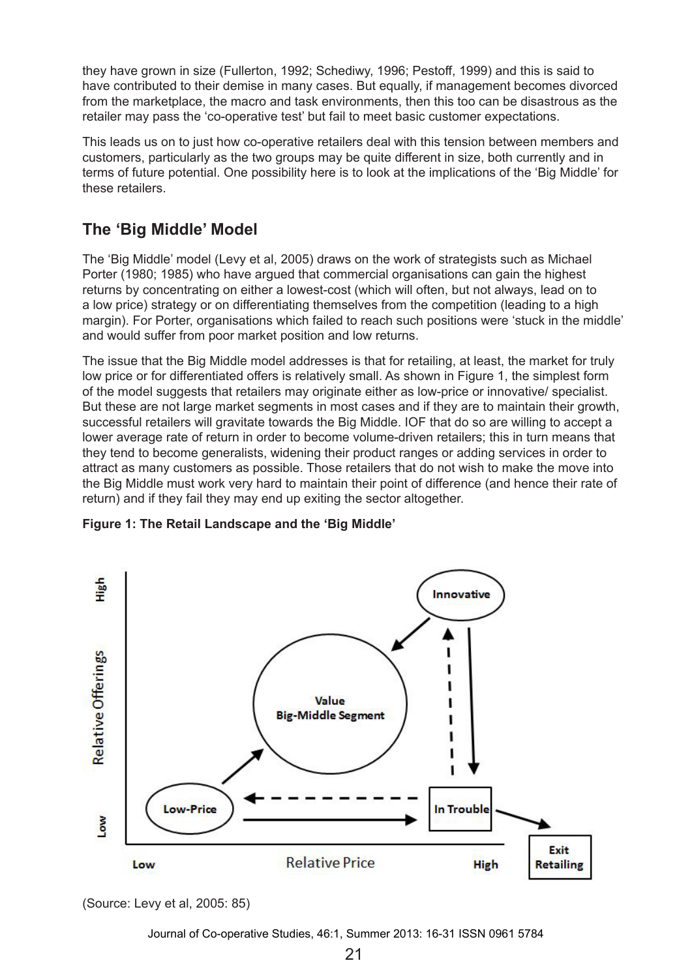they have grown in size (Fullerton, 1992; Schediwy, 1996; Pestoff, 1999) and this is said to have contributed to their demise in many cases. But equally, if management becomes divorced from the marketplace, the macro and task environments, then this too can be disastrous as the retailer may pass the 'co-operative test' but fail to meet basic customer expectations.

This leads us on to just how co-operative retailers deal with this tension between members and customers, particularly as the two groups may be quite different in size, both currently and in terms of future potential. One possibility here is to look at the implications of the 'Big Middle' for these retailers.

# **The 'Big Middle' Model**

The 'Big Middle' model (Levy et al, 2005) draws on the work of strategists such as Michael Porter (1980; 1985) who have argued that commercial organisations can gain the highest returns by concentrating on either a lowest-cost (which will often, but not always, lead on to a low price) strategy or on differentiating themselves from the competition (leading to a high margin). For Porter, organisations which failed to reach such positions were 'stuck in the middle' and would suffer from poor market position and low returns.

The issue that the Big Middle model addresses is that for retailing, at least, the market for truly low price or for differentiated offers is relatively small. As shown in Figure 1, the simplest form of the model suggests that retailers may originate either as low-price or innovative/ specialist. But these are not large market segments in most cases and if they are to maintain their growth. successful retailers will gravitate towards the Big Middle. IOF that do so are willing to accept a lower average rate of return in order to become volume-driven retailers; this in turn means that they tend to become generalists, widening their product ranges or adding services in order to attract as many customers as possible. Those retailers that do not wish to make the move into the Big Middle must work very hard to maintain their point of difference (and hence their rate of return) and if they fail they may end up exiting the sector altogether.





(Source: Levy et al, 2005: 85)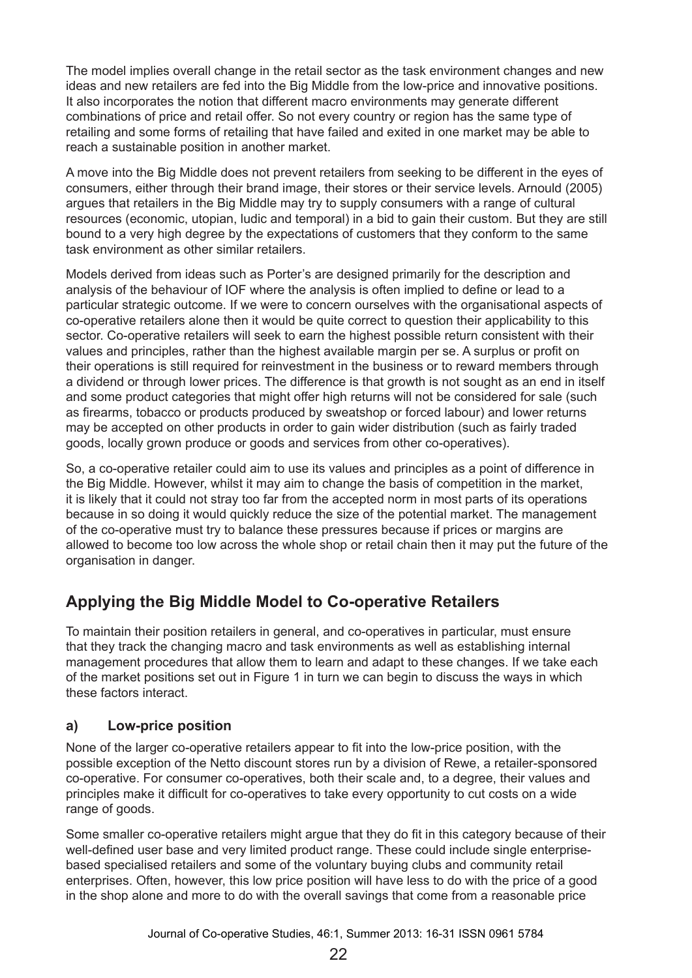The model implies overall change in the retail sector as the task environment changes and new ideas and new retailers are fed into the Big Middle from the low-price and innovative positions. It also incorporates the notion that different macro environments may generate different combinations of price and retail offer. So not every country or region has the same type of retailing and some forms of retailing that have failed and exited in one market may be able to reach a sustainable position in another market.

A move into the Big Middle does not prevent retailers from seeking to be different in the eyes of consumers, either through their brand image, their stores or their service levels. Arnould (2005) argues that retailers in the Big Middle may try to supply consumers with a range of cultural resources (economic, utopian, ludic and temporal) in a bid to gain their custom. But they are still bound to a very high degree by the expectations of customers that they conform to the same task environment as other similar retailers.

Models derived from ideas such as Porter's are designed primarily for the description and analysis of the behaviour of IOF where the analysis is often implied to define or lead to a particular strategic outcome. If we were to concern ourselves with the organisational aspects of co-operative retailers alone then it would be quite correct to question their applicability to this sector. Co-operative retailers will seek to earn the highest possible return consistent with their values and principles, rather than the highest available margin per se. A surplus or profit on their operations is still required for reinvestment in the business or to reward members through a dividend or through lower prices. The difference is that growth is not sought as an end in itself and some product categories that might offer high returns will not be considered for sale (such as firearms, tobacco or products produced by sweatshop or forced labour) and lower returns may be accepted on other products in order to gain wider distribution (such as fairly traded goods, locally grown produce or goods and services from other co-operatives).

So, a co-operative retailer could aim to use its values and principles as a point of difference in the Big Middle. However, whilst it may aim to change the basis of competition in the market, it is likely that it could not stray too far from the accepted norm in most parts of its operations because in so doing it would quickly reduce the size of the potential market. The management of the co-operative must try to balance these pressures because if prices or margins are allowed to become too low across the whole shop or retail chain then it may put the future of the organisation in danger.

# **Applying the Big Middle Model to Co-operative Retailers**

To maintain their position retailers in general, and co-operatives in particular, must ensure that they track the changing macro and task environments as well as establishing internal management procedures that allow them to learn and adapt to these changes. If we take each of the market positions set out in Figure 1 in turn we can begin to discuss the ways in which these factors interact.

### **a) Low-price position**

None of the larger co-operative retailers appear to fit into the low-price position, with the possible exception of the Netto discount stores run by a division of Rewe, a retailer-sponsored co-operative. For consumer co-operatives, both their scale and, to a degree, their values and principles make it difficult for co-operatives to take every opportunity to cut costs on a wide range of goods.

Some smaller co-operative retailers might argue that they do fit in this category because of their well-defined user base and very limited product range. These could include single enterprisebased specialised retailers and some of the voluntary buying clubs and community retail enterprises. Often, however, this low price position will have less to do with the price of a good in the shop alone and more to do with the overall savings that come from a reasonable price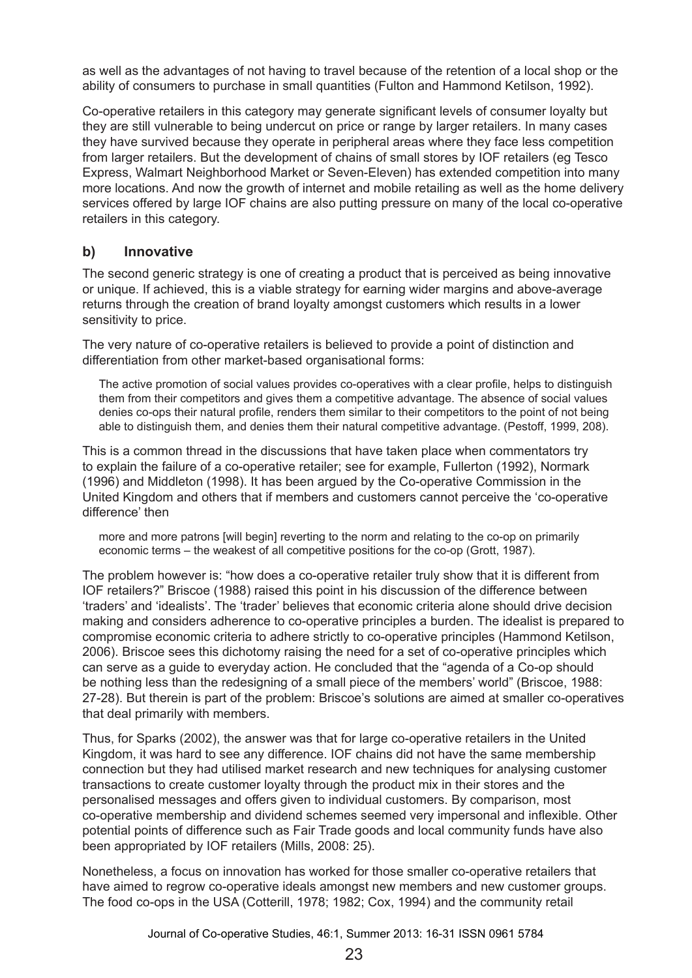as well as the advantages of not having to travel because of the retention of a local shop or the ability of consumers to purchase in small quantities (Fulton and Hammond Ketilson, 1992).

Co-operative retailers in this category may generate significant levels of consumer loyalty but they are still vulnerable to being undercut on price or range by larger retailers. In many cases they have survived because they operate in peripheral areas where they face less competition from larger retailers. But the development of chains of small stores by IOF retailers (eg Tesco Express, Walmart Neighborhood Market or Seven-Eleven) has extended competition into many more locations. And now the growth of internet and mobile retailing as well as the home delivery services offered by large IOF chains are also putting pressure on many of the local co-operative retailers in this category.

#### **b) Innovative**

The second generic strategy is one of creating a product that is perceived as being innovative or unique. If achieved, this is a viable strategy for earning wider margins and above-average returns through the creation of brand loyalty amongst customers which results in a lower sensitivity to price.

The very nature of co-operative retailers is believed to provide a point of distinction and differentiation from other market-based organisational forms:

The active promotion of social values provides co-operatives with a clear profile, helps to distinguish them from their competitors and gives them a competitive advantage. The absence of social values denies co-ops their natural profile, renders them similar to their competitors to the point of not being able to distinguish them, and denies them their natural competitive advantage. (Pestoff, 1999, 208).

This is a common thread in the discussions that have taken place when commentators try to explain the failure of a co-operative retailer; see for example, Fullerton (1992), Normark (1996) and Middleton (1998). It has been argued by the Co-operative Commission in the United Kingdom and others that if members and customers cannot perceive the 'co-operative difference' then

more and more patrons [will begin] reverting to the norm and relating to the co-op on primarily economic terms – the weakest of all competitive positions for the co-op (Grott, 1987).

The problem however is: "how does a co-operative retailer truly show that it is different from IOF retailers?" Briscoe (1988) raised this point in his discussion of the difference between 'traders' and 'idealists'. The 'trader' believes that economic criteria alone should drive decision making and considers adherence to co-operative principles a burden. The idealist is prepared to compromise economic criteria to adhere strictly to co-operative principles (Hammond Ketilson, 2006). Briscoe sees this dichotomy raising the need for a set of co-operative principles which can serve as a guide to everyday action. He concluded that the "agenda of a Co-op should be nothing less than the redesigning of a small piece of the members' world" (Briscoe, 1988: 27-28). But therein is part of the problem: Briscoe's solutions are aimed at smaller co-operatives that deal primarily with members.

Thus, for Sparks (2002), the answer was that for large co-operative retailers in the United Kingdom, it was hard to see any difference. IOF chains did not have the same membership connection but they had utilised market research and new techniques for analysing customer transactions to create customer loyalty through the product mix in their stores and the personalised messages and offers given to individual customers. By comparison, most co‑operative membership and dividend schemes seemed very impersonal and inflexible. Other potential points of difference such as Fair Trade goods and local community funds have also been appropriated by IOF retailers (Mills, 2008: 25).

Nonetheless, a focus on innovation has worked for those smaller co-operative retailers that have aimed to regrow co-operative ideals amongst new members and new customer groups. The food co-ops in the USA (Cotterill, 1978; 1982; Cox, 1994) and the community retail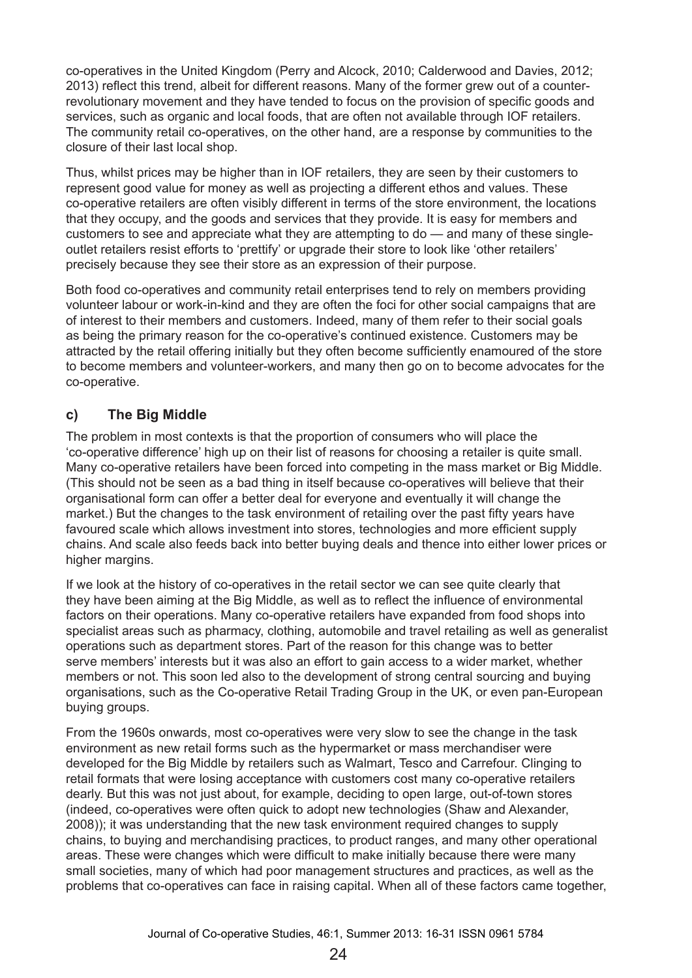co-operatives in the United Kingdom (Perry and Alcock, 2010; Calderwood and Davies, 2012; 2013) reflect this trend, albeit for different reasons. Many of the former grew out of a counterrevolutionary movement and they have tended to focus on the provision of specific goods and services, such as organic and local foods, that are often not available through IOF retailers. The community retail co-operatives, on the other hand, are a response by communities to the closure of their last local shop.

Thus, whilst prices may be higher than in IOF retailers, they are seen by their customers to represent good value for money as well as projecting a different ethos and values. These co-operative retailers are often visibly different in terms of the store environment, the locations that they occupy, and the goods and services that they provide. It is easy for members and customers to see and appreciate what they are attempting to do — and many of these singleoutlet retailers resist efforts to 'prettify' or upgrade their store to look like 'other retailers' precisely because they see their store as an expression of their purpose.

Both food co-operatives and community retail enterprises tend to rely on members providing volunteer labour or work-in-kind and they are often the foci for other social campaigns that are of interest to their members and customers. Indeed, many of them refer to their social goals as being the primary reason for the co-operative's continued existence. Customers may be attracted by the retail offering initially but they often become sufficiently enamoured of the store to become members and volunteer-workers, and many then go on to become advocates for the co-operative.

### **c) The Big Middle**

The problem in most contexts is that the proportion of consumers who will place the 'co-operative difference' high up on their list of reasons for choosing a retailer is quite small. Many co-operative retailers have been forced into competing in the mass market or Big Middle. (This should not be seen as a bad thing in itself because co-operatives will believe that their organisational form can offer a better deal for everyone and eventually it will change the market.) But the changes to the task environment of retailing over the past fifty years have favoured scale which allows investment into stores, technologies and more efficient supply chains. And scale also feeds back into better buying deals and thence into either lower prices or higher margins.

If we look at the history of co-operatives in the retail sector we can see quite clearly that they have been aiming at the Big Middle, as well as to reflect the influence of environmental factors on their operations. Many co-operative retailers have expanded from food shops into specialist areas such as pharmacy, clothing, automobile and travel retailing as well as generalist operations such as department stores. Part of the reason for this change was to better serve members' interests but it was also an effort to gain access to a wider market, whether members or not. This soon led also to the development of strong central sourcing and buying organisations, such as the Co-operative Retail Trading Group in the UK, or even pan-European buying groups.

From the 1960s onwards, most co-operatives were very slow to see the change in the task environment as new retail forms such as the hypermarket or mass merchandiser were developed for the Big Middle by retailers such as Walmart, Tesco and Carrefour. Clinging to retail formats that were losing acceptance with customers cost many co-operative retailers dearly. But this was not just about, for example, deciding to open large, out-of-town stores (indeed, co-operatives were often quick to adopt new technologies (Shaw and Alexander, 2008)); it was understanding that the new task environment required changes to supply chains, to buying and merchandising practices, to product ranges, and many other operational areas. These were changes which were difficult to make initially because there were many small societies, many of which had poor management structures and practices, as well as the problems that co-operatives can face in raising capital. When all of these factors came together,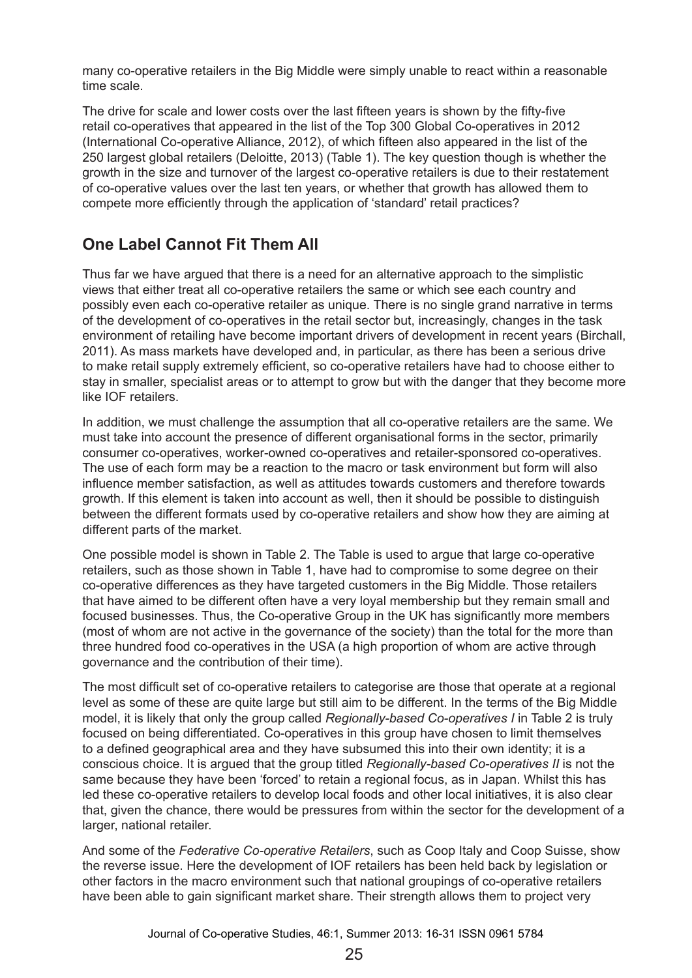many co-operative retailers in the Big Middle were simply unable to react within a reasonable time scale.

The drive for scale and lower costs over the last fifteen years is shown by the fifty-five retail co-operatives that appeared in the list of the Top 300 Global Co-operatives in 2012 (International Co-operative Alliance, 2012), of which fifteen also appeared in the list of the 250 largest global retailers (Deloitte, 2013) (Table 1). The key question though is whether the growth in the size and turnover of the largest co-operative retailers is due to their restatement of co-operative values over the last ten years, or whether that growth has allowed them to compete more efficiently through the application of 'standard' retail practices?

# **One Label Cannot Fit Them All**

Thus far we have argued that there is a need for an alternative approach to the simplistic views that either treat all co-operative retailers the same or which see each country and possibly even each co-operative retailer as unique. There is no single grand narrative in terms of the development of co-operatives in the retail sector but, increasingly, changes in the task environment of retailing have become important drivers of development in recent years (Birchall, 2011). As mass markets have developed and, in particular, as there has been a serious drive to make retail supply extremely efficient, so co-operative retailers have had to choose either to stay in smaller, specialist areas or to attempt to grow but with the danger that they become more like IOF retailers.

In addition, we must challenge the assumption that all co-operative retailers are the same. We must take into account the presence of different organisational forms in the sector, primarily consumer co-operatives, worker-owned co-operatives and retailer-sponsored co-operatives. The use of each form may be a reaction to the macro or task environment but form will also influence member satisfaction, as well as attitudes towards customers and therefore towards growth. If this element is taken into account as well, then it should be possible to distinguish between the different formats used by co-operative retailers and show how they are aiming at different parts of the market.

One possible model is shown in Table 2. The Table is used to argue that large co-operative retailers, such as those shown in Table 1, have had to compromise to some degree on their co-operative differences as they have targeted customers in the Big Middle. Those retailers that have aimed to be different often have a very loyal membership but they remain small and focused businesses. Thus, the Co-operative Group in the UK has significantly more members (most of whom are not active in the governance of the society) than the total for the more than three hundred food co-operatives in the USA (a high proportion of whom are active through governance and the contribution of their time).

The most difficult set of co-operative retailers to categorise are those that operate at a regional level as some of these are quite large but still aim to be different. In the terms of the Big Middle model, it is likely that only the group called *Regionally-based Co-operatives I* in Table 2 is truly focused on being differentiated. Co-operatives in this group have chosen to limit themselves to a defined geographical area and they have subsumed this into their own identity; it is a conscious choice. It is argued that the group titled *Regionally-based Co-operatives II* is not the same because they have been 'forced' to retain a regional focus, as in Japan. Whilst this has led these co-operative retailers to develop local foods and other local initiatives, it is also clear that, given the chance, there would be pressures from within the sector for the development of a larger, national retailer.

And some of the *Federative Co-operative Retailers*, such as Coop Italy and Coop Suisse, show the reverse issue. Here the development of IOF retailers has been held back by legislation or other factors in the macro environment such that national groupings of co-operative retailers have been able to gain significant market share. Their strength allows them to project very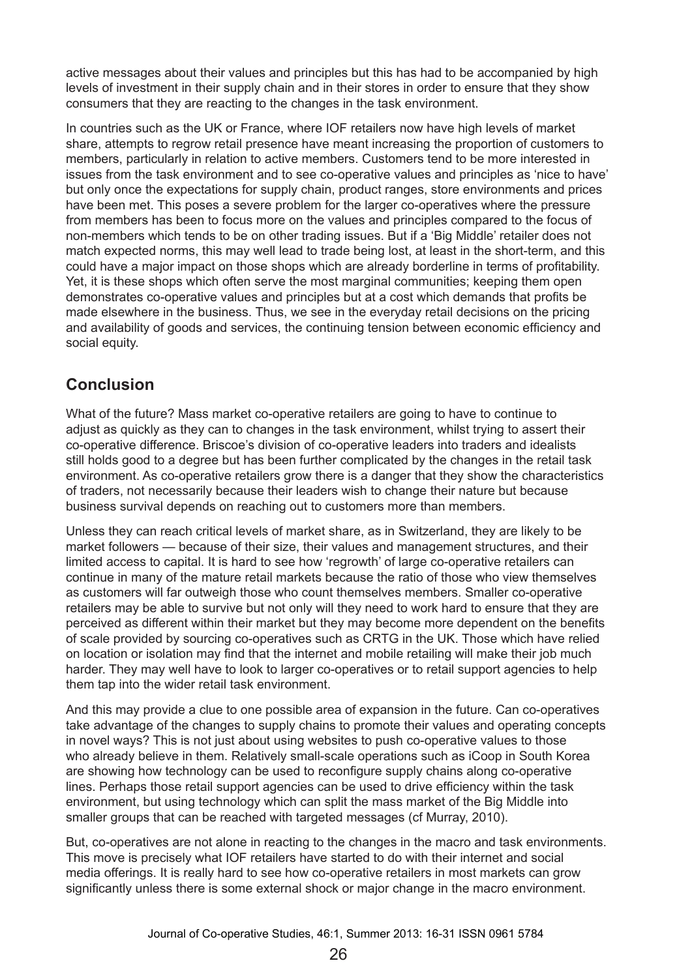active messages about their values and principles but this has had to be accompanied by high levels of investment in their supply chain and in their stores in order to ensure that they show consumers that they are reacting to the changes in the task environment.

In countries such as the UK or France, where IOF retailers now have high levels of market share, attempts to regrow retail presence have meant increasing the proportion of customers to members, particularly in relation to active members. Customers tend to be more interested in issues from the task environment and to see co-operative values and principles as 'nice to have' but only once the expectations for supply chain, product ranges, store environments and prices have been met. This poses a severe problem for the larger co-operatives where the pressure from members has been to focus more on the values and principles compared to the focus of non-members which tends to be on other trading issues. But if a 'Big Middle' retailer does not match expected norms, this may well lead to trade being lost, at least in the short-term, and this could have a major impact on those shops which are already borderline in terms of profitability. Yet, it is these shops which often serve the most marginal communities; keeping them open demonstrates co-operative values and principles but at a cost which demands that profits be made elsewhere in the business. Thus, we see in the everyday retail decisions on the pricing and availability of goods and services, the continuing tension between economic efficiency and social equity.

# **Conclusion**

What of the future? Mass market co-operative retailers are going to have to continue to adjust as quickly as they can to changes in the task environment, whilst trying to assert their co-operative difference. Briscoe's division of co-operative leaders into traders and idealists still holds good to a degree but has been further complicated by the changes in the retail task environment. As co-operative retailers grow there is a danger that they show the characteristics of traders, not necessarily because their leaders wish to change their nature but because business survival depends on reaching out to customers more than members.

Unless they can reach critical levels of market share, as in Switzerland, they are likely to be market followers — because of their size, their values and management structures, and their limited access to capital. It is hard to see how 'regrowth' of large co-operative retailers can continue in many of the mature retail markets because the ratio of those who view themselves as customers will far outweigh those who count themselves members. Smaller co-operative retailers may be able to survive but not only will they need to work hard to ensure that they are perceived as different within their market but they may become more dependent on the benefits of scale provided by sourcing co-operatives such as CRTG in the UK. Those which have relied on location or isolation may find that the internet and mobile retailing will make their job much harder. They may well have to look to larger co-operatives or to retail support agencies to help them tap into the wider retail task environment.

And this may provide a clue to one possible area of expansion in the future. Can co-operatives take advantage of the changes to supply chains to promote their values and operating concepts in novel ways? This is not just about using websites to push co-operative values to those who already believe in them. Relatively small-scale operations such as iCoop in South Korea are showing how technology can be used to reconfigure supply chains along co-operative lines. Perhaps those retail support agencies can be used to drive efficiency within the task environment, but using technology which can split the mass market of the Big Middle into smaller groups that can be reached with targeted messages (cf Murray, 2010).

But, co-operatives are not alone in reacting to the changes in the macro and task environments. This move is precisely what IOF retailers have started to do with their internet and social media offerings. It is really hard to see how co-operative retailers in most markets can grow significantly unless there is some external shock or major change in the macro environment.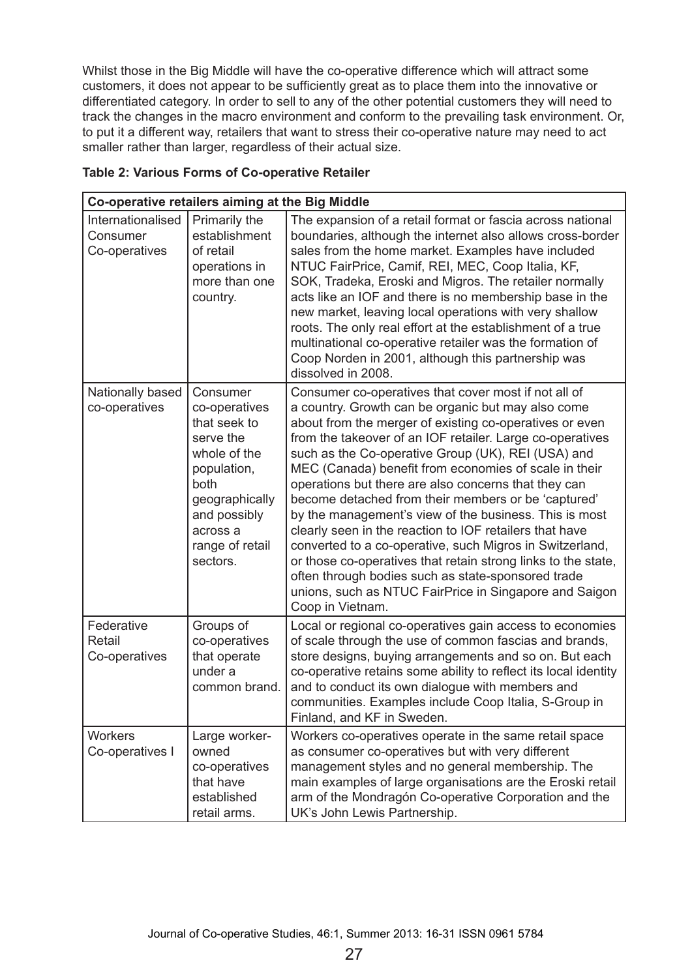Whilst those in the Big Middle will have the co-operative difference which will attract some customers, it does not appear to be sufficiently great as to place them into the innovative or differentiated category. In order to sell to any of the other potential customers they will need to track the changes in the macro environment and conform to the prevailing task environment. Or, to put it a different way, retailers that want to stress their co-operative nature may need to act smaller rather than larger, regardless of their actual size.

| Co-operative retailers aiming at the Big Middle |                                                                                                                                                                            |                                                                                                                                                                                                                                                                                                                                                                                                                                                                                                                                                                                                                                                                                                                                                                                                                                                        |
|-------------------------------------------------|----------------------------------------------------------------------------------------------------------------------------------------------------------------------------|--------------------------------------------------------------------------------------------------------------------------------------------------------------------------------------------------------------------------------------------------------------------------------------------------------------------------------------------------------------------------------------------------------------------------------------------------------------------------------------------------------------------------------------------------------------------------------------------------------------------------------------------------------------------------------------------------------------------------------------------------------------------------------------------------------------------------------------------------------|
| Internationalised<br>Consumer<br>Co-operatives  | Primarily the<br>establishment<br>of retail<br>operations in<br>more than one<br>country.                                                                                  | The expansion of a retail format or fascia across national<br>boundaries, although the internet also allows cross-border<br>sales from the home market. Examples have included<br>NTUC FairPrice, Camif, REI, MEC, Coop Italia, KF,<br>SOK, Tradeka, Eroski and Migros. The retailer normally<br>acts like an IOF and there is no membership base in the<br>new market, leaving local operations with very shallow<br>roots. The only real effort at the establishment of a true<br>multinational co-operative retailer was the formation of<br>Coop Norden in 2001, although this partnership was<br>dissolved in 2008.                                                                                                                                                                                                                               |
| Nationally based<br>co-operatives               | Consumer<br>co-operatives<br>that seek to<br>serve the<br>whole of the<br>population,<br>both<br>geographically<br>and possibly<br>across a<br>range of retail<br>sectors. | Consumer co-operatives that cover most if not all of<br>a country. Growth can be organic but may also come<br>about from the merger of existing co-operatives or even<br>from the takeover of an IOF retailer. Large co-operatives<br>such as the Co-operative Group (UK), REI (USA) and<br>MEC (Canada) benefit from economies of scale in their<br>operations but there are also concerns that they can<br>become detached from their members or be 'captured'<br>by the management's view of the business. This is most<br>clearly seen in the reaction to IOF retailers that have<br>converted to a co-operative, such Migros in Switzerland,<br>or those co-operatives that retain strong links to the state,<br>often through bodies such as state-sponsored trade<br>unions, such as NTUC FairPrice in Singapore and Saigon<br>Coop in Vietnam. |
| Federative<br>Retail<br>Co-operatives           | Groups of<br>co-operatives<br>that operate<br>under a<br>common brand.                                                                                                     | Local or regional co-operatives gain access to economies<br>of scale through the use of common fascias and brands,<br>store designs, buying arrangements and so on. But each<br>co-operative retains some ability to reflect its local identity<br>and to conduct its own dialogue with members and<br>communities. Examples include Coop Italia, S-Group in<br>Finland, and KF in Sweden.                                                                                                                                                                                                                                                                                                                                                                                                                                                             |
| <b>Workers</b><br>Co-operatives I               | Large worker-<br>owned<br>co-operatives<br>that have<br>established<br>retail arms.                                                                                        | Workers co-operatives operate in the same retail space<br>as consumer co-operatives but with very different<br>management styles and no general membership. The<br>main examples of large organisations are the Eroski retail<br>arm of the Mondragón Co-operative Corporation and the<br>UK's John Lewis Partnership.                                                                                                                                                                                                                                                                                                                                                                                                                                                                                                                                 |

#### **Table 2: Various Forms of Co-operative Retailer**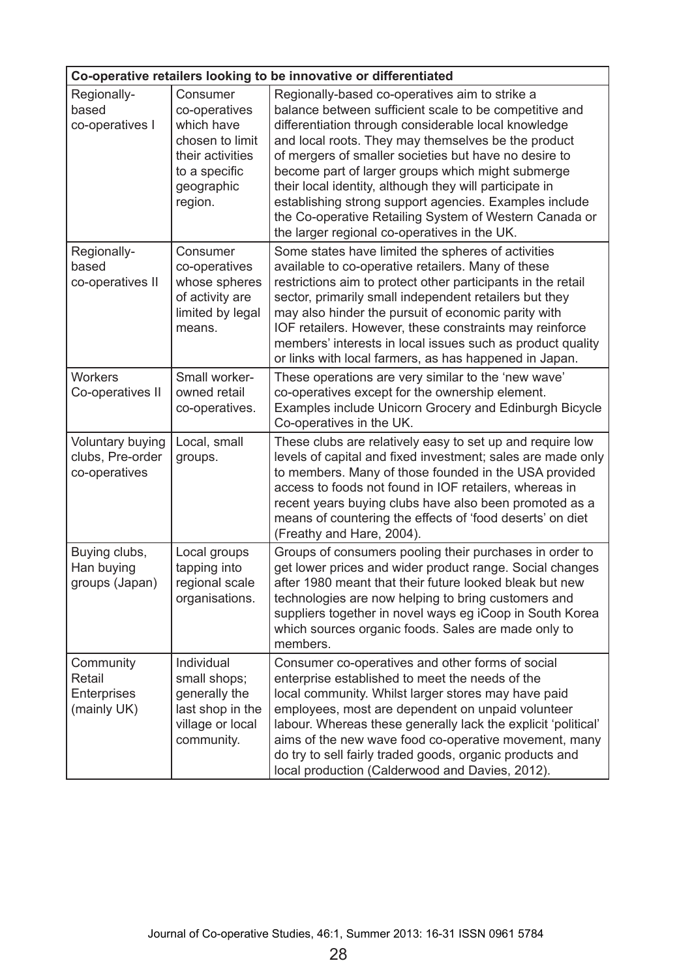| Co-operative retailers looking to be innovative or differentiated |                                                                                                                                           |                                                                                                                                                                                                                                                                                                                                                                                                                                                                                                                                                                                                                                |  |  |
|-------------------------------------------------------------------|-------------------------------------------------------------------------------------------------------------------------------------------|--------------------------------------------------------------------------------------------------------------------------------------------------------------------------------------------------------------------------------------------------------------------------------------------------------------------------------------------------------------------------------------------------------------------------------------------------------------------------------------------------------------------------------------------------------------------------------------------------------------------------------|--|--|
| Regionally-                                                       | Consumer                                                                                                                                  | Regionally-based co-operatives aim to strike a                                                                                                                                                                                                                                                                                                                                                                                                                                                                                                                                                                                 |  |  |
| based<br>co-operatives I<br>Regionally-<br>based                  | co-operatives<br>which have<br>chosen to limit<br>their activities<br>to a specific<br>geographic<br>region.<br>Consumer<br>co-operatives | balance between sufficient scale to be competitive and<br>differentiation through considerable local knowledge<br>and local roots. They may themselves be the product<br>of mergers of smaller societies but have no desire to<br>become part of larger groups which might submerge<br>their local identity, although they will participate in<br>establishing strong support agencies. Examples include<br>the Co-operative Retailing System of Western Canada or<br>the larger regional co-operatives in the UK.<br>Some states have limited the spheres of activities<br>available to co-operative retailers. Many of these |  |  |
| co-operatives II                                                  | whose spheres<br>of activity are<br>limited by legal<br>means.                                                                            | restrictions aim to protect other participants in the retail<br>sector, primarily small independent retailers but they<br>may also hinder the pursuit of economic parity with<br>IOF retailers. However, these constraints may reinforce<br>members' interests in local issues such as product quality<br>or links with local farmers, as has happened in Japan.                                                                                                                                                                                                                                                               |  |  |
| <b>Workers</b><br>Co-operatives II                                | Small worker-<br>owned retail<br>co-operatives.                                                                                           | These operations are very similar to the 'new wave'<br>co-operatives except for the ownership element.<br>Examples include Unicorn Grocery and Edinburgh Bicycle<br>Co-operatives in the UK.                                                                                                                                                                                                                                                                                                                                                                                                                                   |  |  |
| Voluntary buying<br>clubs, Pre-order<br>co-operatives             | Local, small<br>groups.                                                                                                                   | These clubs are relatively easy to set up and require low<br>levels of capital and fixed investment; sales are made only<br>to members. Many of those founded in the USA provided<br>access to foods not found in IOF retailers, whereas in<br>recent years buying clubs have also been promoted as a<br>means of countering the effects of 'food deserts' on diet<br>(Freathy and Hare, 2004).                                                                                                                                                                                                                                |  |  |
| Buying clubs,<br>Han buying<br>groups (Japan)                     | Local groups<br>tapping into<br>regional scale<br>organisations.                                                                          | Groups of consumers pooling their purchases in order to<br>get lower prices and wider product range. Social changes<br>after 1980 meant that their future looked bleak but new<br>technologies are now helping to bring customers and<br>suppliers together in novel ways eg iCoop in South Korea<br>which sources organic foods. Sales are made only to<br>members.                                                                                                                                                                                                                                                           |  |  |
| Community<br>Retail<br>Enterprises<br>(mainly UK)                 | Individual<br>small shops;<br>generally the<br>last shop in the<br>village or local<br>community.                                         | Consumer co-operatives and other forms of social<br>enterprise established to meet the needs of the<br>local community. Whilst larger stores may have paid<br>employees, most are dependent on unpaid volunteer<br>labour. Whereas these generally lack the explicit 'political'<br>aims of the new wave food co-operative movement, many<br>do try to sell fairly traded goods, organic products and<br>local production (Calderwood and Davies, 2012).                                                                                                                                                                       |  |  |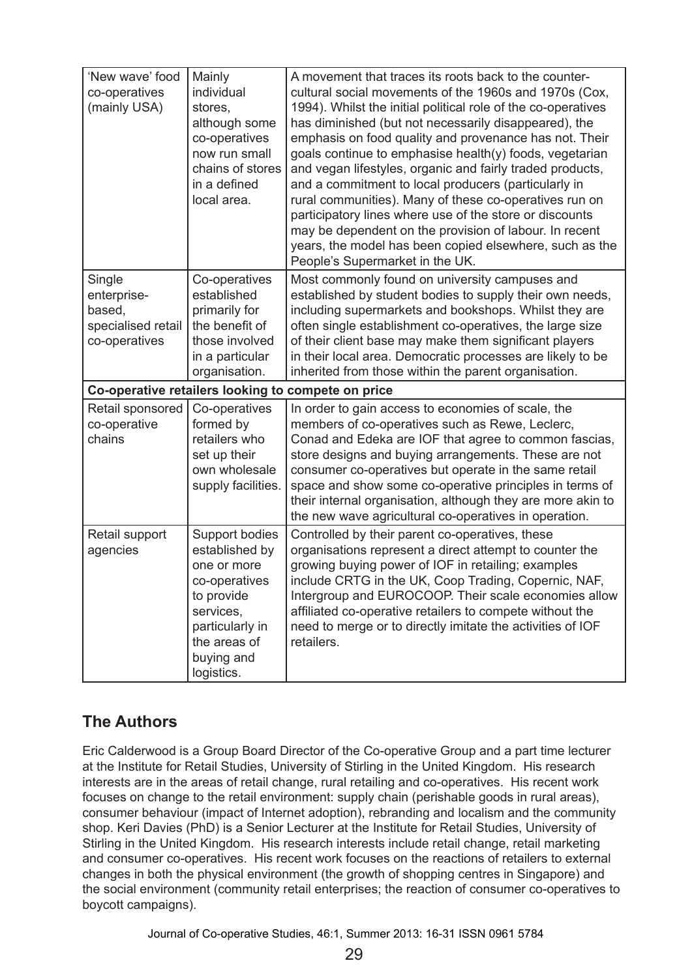| 'New wave' food<br>co-operatives<br>(mainly USA)                       | Mainly<br>individual<br>stores,<br>although some<br>co-operatives<br>now run small<br>chains of stores<br>in a defined<br>local area.                      | A movement that traces its roots back to the counter-<br>cultural social movements of the 1960s and 1970s (Cox,<br>1994). Whilst the initial political role of the co-operatives<br>has diminished (but not necessarily disappeared), the<br>emphasis on food quality and provenance has not. Their<br>goals continue to emphasise health(y) foods, vegetarian<br>and vegan lifestyles, organic and fairly traded products,<br>and a commitment to local producers (particularly in<br>rural communities). Many of these co-operatives run on<br>participatory lines where use of the store or discounts<br>may be dependent on the provision of labour. In recent<br>years, the model has been copied elsewhere, such as the<br>People's Supermarket in the UK. |
|------------------------------------------------------------------------|------------------------------------------------------------------------------------------------------------------------------------------------------------|------------------------------------------------------------------------------------------------------------------------------------------------------------------------------------------------------------------------------------------------------------------------------------------------------------------------------------------------------------------------------------------------------------------------------------------------------------------------------------------------------------------------------------------------------------------------------------------------------------------------------------------------------------------------------------------------------------------------------------------------------------------|
| Single<br>enterprise-<br>based,<br>specialised retail<br>co-operatives | Co-operatives<br>established<br>primarily for<br>the benefit of<br>those involved<br>in a particular<br>organisation.                                      | Most commonly found on university campuses and<br>established by student bodies to supply their own needs,<br>including supermarkets and bookshops. Whilst they are<br>often single establishment co-operatives, the large size<br>of their client base may make them significant players<br>in their local area. Democratic processes are likely to be<br>inherited from those within the parent organisation.                                                                                                                                                                                                                                                                                                                                                  |
|                                                                        |                                                                                                                                                            | Co-operative retailers looking to compete on price                                                                                                                                                                                                                                                                                                                                                                                                                                                                                                                                                                                                                                                                                                               |
| Retail sponsored<br>co-operative<br>chains                             | Co-operatives<br>formed by<br>retailers who<br>set up their<br>own wholesale<br>supply facilities.                                                         | In order to gain access to economies of scale, the<br>members of co-operatives such as Rewe, Leclerc,<br>Conad and Edeka are IOF that agree to common fascias,<br>store designs and buying arrangements. These are not<br>consumer co-operatives but operate in the same retail<br>space and show some co-operative principles in terms of<br>their internal organisation, although they are more akin to<br>the new wave agricultural co-operatives in operation.                                                                                                                                                                                                                                                                                               |
| Retail support<br>agencies                                             | Support bodies<br>established by<br>one or more<br>co-operatives<br>to provide<br>services,<br>particularly in<br>the areas of<br>buying and<br>logistics. | Controlled by their parent co-operatives, these<br>organisations represent a direct attempt to counter the<br>growing buying power of IOF in retailing; examples<br>include CRTG in the UK, Coop Trading, Copernic, NAF,<br>Intergroup and EUROCOOP. Their scale economies allow<br>affiliated co-operative retailers to compete without the<br>need to merge or to directly imitate the activities of IOF<br>retailers.                                                                                                                                                                                                                                                                                                                                         |

# **The Authors**

Eric Calderwood is a Group Board Director of the Co-operative Group and a part time lecturer at the Institute for Retail Studies, University of Stirling in the United Kingdom. His research interests are in the areas of retail change, rural retailing and co-operatives. His recent work focuses on change to the retail environment: supply chain (perishable goods in rural areas), consumer behaviour (impact of Internet adoption), rebranding and localism and the community shop. Keri Davies (PhD) is a Senior Lecturer at the Institute for Retail Studies, University of Stirling in the United Kingdom. His research interests include retail change, retail marketing and consumer co-operatives. His recent work focuses on the reactions of retailers to external changes in both the physical environment (the growth of shopping centres in Singapore) and the social environment (community retail enterprises; the reaction of consumer co-operatives to boycott campaigns).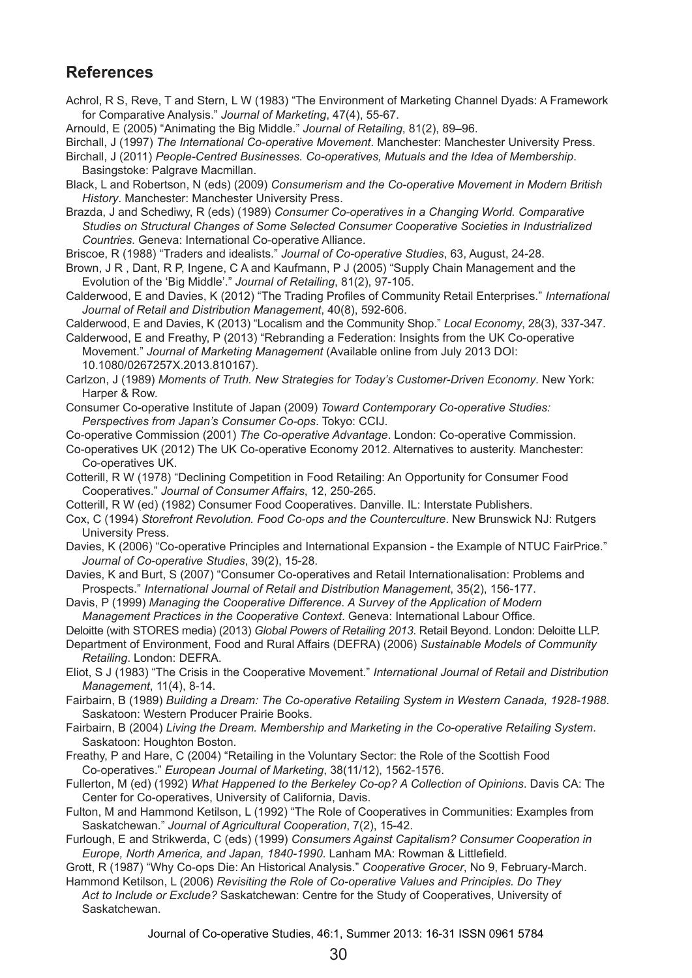### **References**

- Achrol, R S, Reve, T and Stern, L W (1983) "The Environment of Marketing Channel Dyads: A Framework for Comparative Analysis." *Journal of Marketing*, 47(4), 55-67.
- Arnould, E (2005) "Animating the Big Middle." *Journal of Retailing*, 81(2), 89–96.
- Birchall, J (1997) *The International Co-operative Movement*. Manchester: Manchester University Press.
- Birchall, J (2011) *People-Centred Businesses. Co-operatives, Mutuals and the Idea of Membership*. Basingstoke: Palgrave Macmillan.
- Black, L and Robertson, N (eds) (2009) *Consumerism and the Co-operative Movement in Modern British History*. Manchester: Manchester University Press.
- Brazda, J and Schediwy, R (eds) (1989) *Consumer Co-operatives in a Changing World. Comparative Studies on Structural Changes of Some Selected Consumer Cooperative Societies in Industrialized Countries*. Geneva: International Co-operative Alliance.
- Briscoe, R (1988) "Traders and idealists." *Journal of Co-operative Studies*, 63, August, 24-28.
- Brown, J R , Dant, R P, Ingene, C A and Kaufmann, P J (2005) "Supply Chain Management and the Evolution of the 'Big Middle'." *Journal of Retailing*, 81(2), 97-105.
- Calderwood, E and Davies, K (2012) "The Trading Profiles of Community Retail Enterprises." *International Journal of Retail and Distribution Management*, 40(8), 592-606.
- Calderwood, E and Davies, K (2013) "Localism and the Community Shop." *Local Economy*, 28(3), 337‑347.
- Calderwood, E and Freathy, P (2013) "Rebranding a Federation: Insights from the UK Co-operative Movement." *Journal of Marketing Management* (Available online from July 2013 DOI: 10.1080/0267257X.2013.810167).
- Carlzon, J (1989) *Moments of Truth. New Strategies for Today's Customer-Driven Economy*. New York: Harper & Row.
- Consumer Co-operative Institute of Japan (2009) *Toward Contemporary Co-operative Studies: Perspectives from Japan's Consumer Co-ops*. Tokyo: CCIJ.
- Co-operative Commission (2001) *The Co-operative Advantage*. London: Co-operative Commission.
- Co-operatives UK (2012) The UK Co-operative Economy 2012. Alternatives to austerity. Manchester: Co-operatives UK.
- Cotterill, R W (1978) "Declining Competition in Food Retailing: An Opportunity for Consumer Food Cooperatives." *Journal of Consumer Affairs*, 12, 250-265.
- Cotterill, R W (ed) (1982) Consumer Food Cooperatives. Danville. IL: Interstate Publishers.
- Cox, C (1994) *Storefront Revolution. Food Co-ops and the Counterculture*. New Brunswick NJ: Rutgers University Press.
- Davies, K (2006) "Co-operative Principles and International Expansion the Example of NTUC FairPrice." *Journal of Co-operative Studies*, 39(2), 15-28.
- Davies, K and Burt, S (2007) "Consumer Co-operatives and Retail Internationalisation: Problems and Prospects." *International Journal of Retail and Distribution Management*, 35(2), 156-177.
- Davis, P (1999) *Managing the Cooperative Difference. A Survey of the Application of Modern*
- *Management Practices in the Cooperative Context*. Geneva: International Labour Office.
- Deloitte (with STORES media) (2013) *Global Powers of Retailing 2013*. Retail Beyond. London: Deloitte LLP.
- Department of Environment, Food and Rural Affairs (DEFRA) (2006) *Sustainable Models of Community Retailing*. London: DEFRA.
- Eliot, S J (1983) "The Crisis in the Cooperative Movement." *International Journal of Retail and Distribution Management*, 11(4), 8-14.
- Fairbairn, B (1989) *Building a Dream: The Co-operative Retailing System in Western Canada, 1928-1988*. Saskatoon: Western Producer Prairie Books.
- Fairbairn, B (2004) *Living the Dream. Membership and Marketing in the Co-operative Retailing System*. Saskatoon: Houghton Boston.
- Freathy, P and Hare, C (2004) "Retailing in the Voluntary Sector: the Role of the Scottish Food Co-operatives." *European Journal of Marketing*, 38(11/12), 1562-1576.
- Fullerton, M (ed) (1992) *What Happened to the Berkeley Co-op? A Collection of Opinions*. Davis CA: The Center for Co-operatives, University of California, Davis.
- Fulton, M and Hammond Ketilson, L (1992) "The Role of Cooperatives in Communities: Examples from Saskatchewan." *Journal of Agricultural Cooperation*, 7(2), 15-42.
- Furlough, E and Strikwerda, C (eds) (1999) *Consumers Against Capitalism? Consumer Cooperation in Europe, North America, and Japan, 1840-1990*. Lanham MA: Rowman & Littlefield.
- Grott, R (1987) "Why Co-ops Die: An Historical Analysis." *Cooperative Grocer*, No 9, February-March.
- Hammond Ketilson, L (2006) *Revisiting the Role of Co-operative Values and Principles. Do They Act to Include or Exclude?* Saskatchewan: Centre for the Study of Cooperatives, University of Saskatchewan.